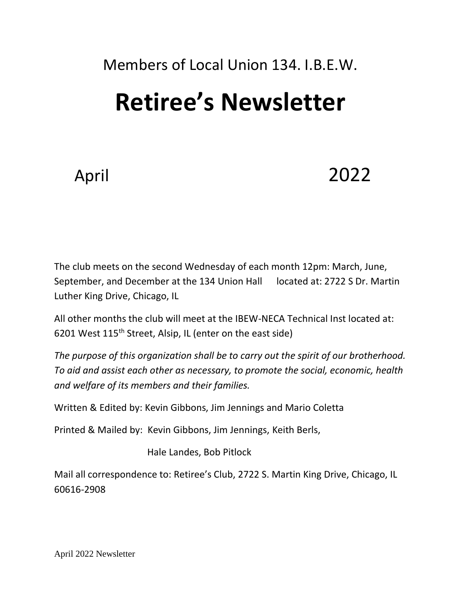# Members of Local Union 134. I.B.E.W. **Retiree's Newsletter**

April 2022

The club meets on the second Wednesday of each month 12pm: March, June, September, and December at the 134 Union Hall located at: 2722 S Dr. Martin Luther King Drive, Chicago, IL

All other months the club will meet at the IBEW-NECA Technical Inst located at: 6201 West 115th Street, Alsip, IL (enter on the east side)

*The purpose of this organization shall be to carry out the spirit of our brotherhood. To aid and assist each other as necessary, to promote the social, economic, health and welfare of its members and their families.*

Written & Edited by: Kevin Gibbons, Jim Jennings and Mario Coletta

Printed & Mailed by: Kevin Gibbons, Jim Jennings, Keith Berls,

Hale Landes, Bob Pitlock

Mail all correspondence to: Retiree's Club, 2722 S. Martin King Drive, Chicago, IL 60616-2908

April 2022 Newsletter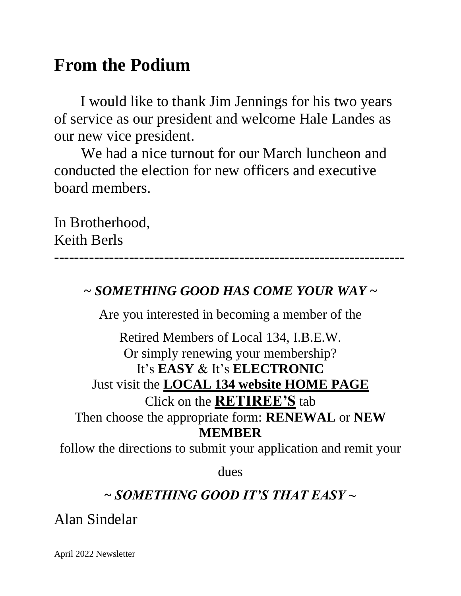# **From the Podium**

I would like to thank Jim Jennings for his two years of service as our president and welcome Hale Landes as our new vice president.

We had a nice turnout for our March luncheon and conducted the election for new officers and executive board members.

In Brotherhood, Keith Berls

----------------------------------------------------------------------

#### *~ SOMETHING GOOD HAS COME YOUR WAY ~*

Are you interested in becoming a member of the

Retired Members of Local 134, I.B.E.W. Or simply renewing your membership? It's **EASY** & It's **ELECTRONIC** Just visit the **LOCAL 134 website HOME PAGE** Click on the **RETIREE'S** tab Then choose the appropriate form: **RENEWAL** or **NEW MEMBER**

follow the directions to submit your application and remit your

dues

## **~** *SOMETHING GOOD IT'S THAT EASY ~*

Alan Sindelar

April 2022 Newsletter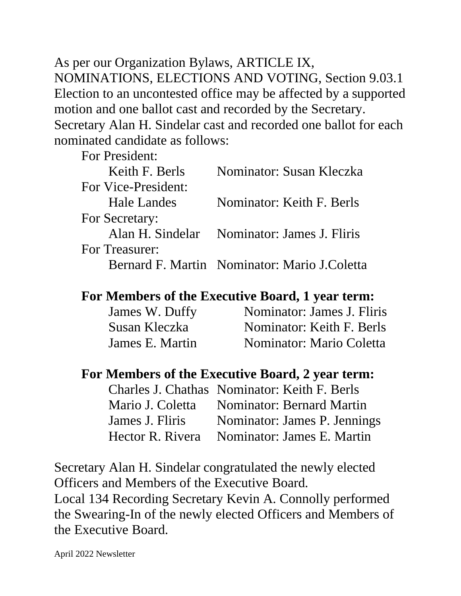As per our Organization Bylaws, ARTICLE IX, NOMINATIONS, ELECTIONS AND VOTING, Section 9.03.1 Election to an uncontested office may be affected by a supported motion and one ballot cast and recorded by the Secretary. Secretary Alan H. Sindelar cast and recorded one ballot for each nominated candidate as follows:

For President:

| Nominator: Susan Kleczka                     |
|----------------------------------------------|
|                                              |
| <b>Nominator: Keith F. Berls</b>             |
|                                              |
| Alan H. Sindelar Nominator: James J. Fliris  |
|                                              |
| Bernard F. Martin Nominator: Mario J.Coletta |
|                                              |

#### **For Members of the Executive Board, 1 year term:**

| James W. Duffy  | Nominator: James J. Fliris |
|-----------------|----------------------------|
| Susan Kleczka   | Nominator: Keith F. Berls  |
| James E. Martin | Nominator: Mario Coletta   |

#### **For Members of the Executive Board, 2 year term:**

|                 | Charles J. Chathas Nominator: Keith F. Berls |
|-----------------|----------------------------------------------|
|                 | Mario J. Coletta Nominator: Bernard Martin   |
| James J. Fliris | Nominator: James P. Jennings                 |
|                 | Hector R. Rivera Nominator: James E. Martin  |

Secretary Alan H. Sindelar congratulated the newly elected Officers and Members of the Executive Board. Local 134 Recording Secretary Kevin A. Connolly performed the Swearing-In of the newly elected Officers and Members of the Executive Board.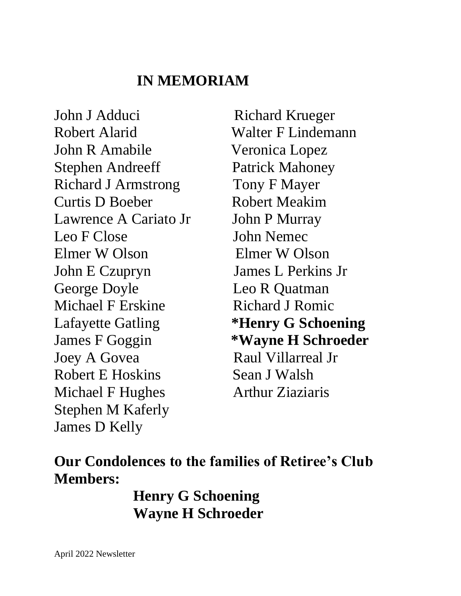#### **IN MEMORIAM**

John J Adduci Richard Krueger Robert Alarid Walter F Lindemann John R Amabile Veronica Lopez Stephen Andreeff Patrick Mahoney Richard J Armstrong Tony F Mayer Curtis D Boeber Robert Meakim Lawrence A Cariato Jr John P Murray Leo F Close John Nemec Elmer W Olson Elmer W Olson John E Czupryn James L Perkins Jr George Doyle **Leo R Quatman** Michael F Erskine Richard J Romic Lafayette Gatling **\*Henry G Schoening** Joey A Govea Raul Villarreal Jr Robert E Hoskins Sean J Walsh Michael F Hughes **Arthur Ziaziaris** Stephen M Kaferly James D Kelly

James F Goggin **\*Wayne H Schroeder**

**Our Condolences to the families of Retiree's Club Members:**

> **Henry G Schoening Wayne H Schroeder**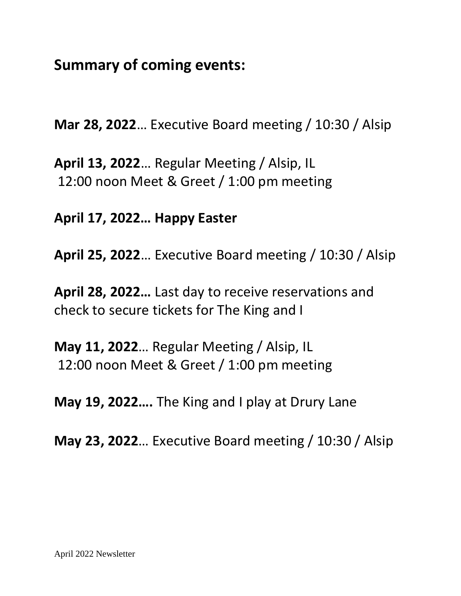**Summary of coming events:**

**Mar 28, 2022**… Executive Board meeting / 10:30 / Alsip

**April 13, 2022**… Regular Meeting / Alsip, IL 12:00 noon Meet & Greet / 1:00 pm meeting

**April 17, 2022… Happy Easter** 

**April 25, 2022**… Executive Board meeting / 10:30 / Alsip

**April 28, 2022…** Last day to receive reservations and check to secure tickets for The King and I

**May 11, 2022**… Regular Meeting / Alsip, IL 12:00 noon Meet & Greet / 1:00 pm meeting

**May 19, 2022….** The King and I play at Drury Lane

**May 23, 2022**… Executive Board meeting / 10:30 / Alsip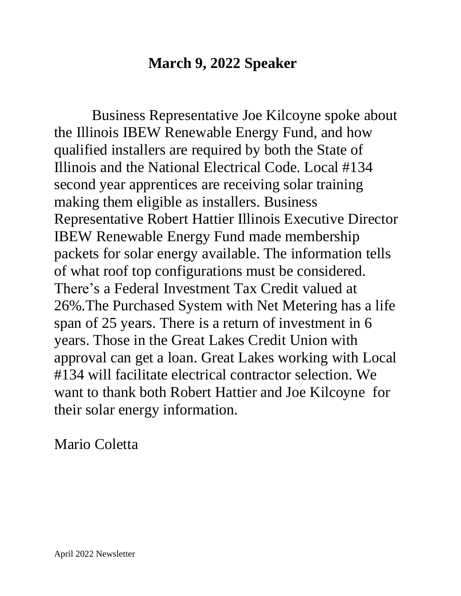#### **March 9, 2022 Speaker**

 Business Representative Joe Kilcoyne spoke about the Illinois IBEW Renewable Energy Fund, and how qualified installers are required by both the State of Illinois and the National Electrical Code. Local #134 second year apprentices are receiving solar training making them eligible as installers. Business Representative Robert Hattier Illinois Executive Director IBEW Renewable Energy Fund made membership packets for solar energy available. The information tells of what roof top configurations must be considered. There's a Federal Investment Tax Credit valued at 26%.The Purchased System with Net Metering has a life span of 25 years. There is a return of investment in 6 years. Those in the Great Lakes Credit Union with approval can get a loan. Great Lakes working with Local #134 will facilitate electrical contractor selection. We want to thank both Robert Hattier and Joe Kilcoyne for their solar energy information.

Mario Coletta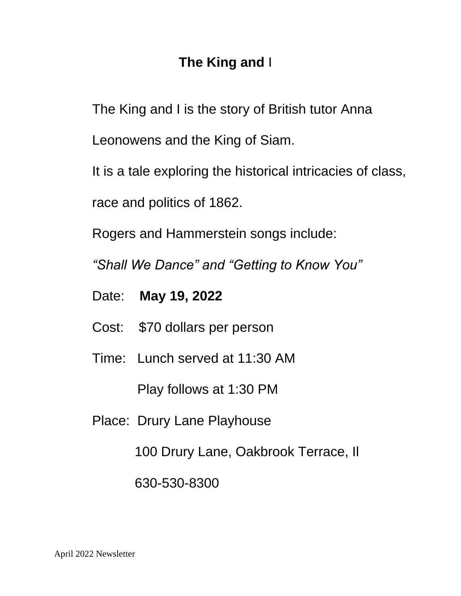## **The King and** I

The King and I is the story of British tutor Anna

Leonowens and the King of Siam.

It is a tale exploring the historical intricacies of class,

race and politics of 1862.

Rogers and Hammerstein songs include:

*"Shall We Dance" and "Getting to Know You"*

- Date: **May 19, 2022**
- Cost: \$70 dollars per person
- Time: Lunch served at 11:30 AM

Play follows at 1:30 PM

Place: Drury Lane Playhouse

100 Drury Lane, Oakbrook Terrace, Il

630-530-8300